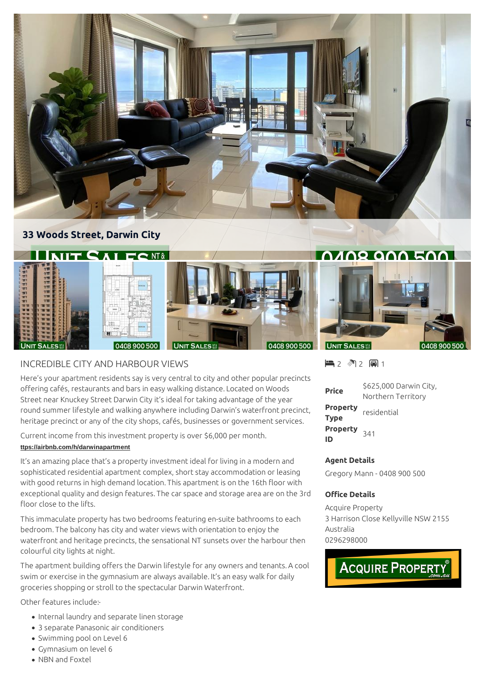

## **33 Woods Street, Darwin City**



## INCREDIBLE CITY AND HARBOUR VIEWS

Here's your apartment residents say is very central to city and other popular precincts offering cafés, restaurants and bars in easy walking distance. Located on Woods Street near Knuckey Street Darwin City it's ideal for taking advantage of the year round summer lifestyle and walking anywhere including Darwin's waterfront precinct, heritage precinct or any of the city shops, cafés, businesses or government services.

Current income from this investment property is over \$6,000 per month. **[ttps://airbnb.com/h/darwinapartment](https://airbnb.com/h/darwinapartment)**

It's an amazing place that's a property investment ideal for living in a modern and sophisticated residential apartment complex, short stay accommodation or leasing with good returns in high demand location. This apartment is on the 16th floor with exceptional quality and design features. The car space and storage area are on the 3rd floor close to the lifts.

This immaculate property has two bedrooms featuring en-suite bathrooms to each bedroom. The balcony has city and water views with orientation to enjoy the waterfront and heritage precincts, the sensational NT sunsets over the harbour then colourful city lights at night.

The apartment building offers the Darwin lifestyle for any owners and tenants. A cool swim or exercise in the gymnasium are always available. It's an easy walk for daily groceries shopping or stroll to the spectacular Darwin Waterfront.

Other features include:-

- Internal laundry and separate linen storage
- 3 separate Panasonic air conditioners
- Swimming pool on Level 6
- Gymnasium on level 6
- NBN and Foxtel

■2 图2 圓1

| <b>Price</b>                  | \$625,000 Darwin City, |
|-------------------------------|------------------------|
|                               | Northern Territory     |
| Property<br><b>Type</b>       | residential            |
| Property <sub>341</sub><br>ID |                        |

## **Agent Details**

Gregory Mann - 0408 900 500

## **Office Details**

Acquire Property 3 Harrison Close Kellyville NSW 2155 Australia 0296298000